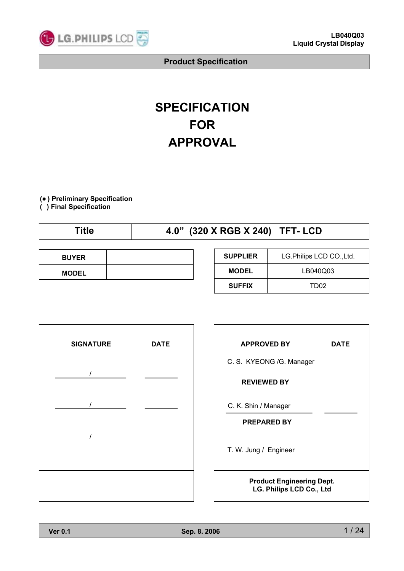

# **SPECIFICATION FOR APPROVAL**

**(**● **) Preliminary Specification**

**( ) Final Specification**

| ïtle | 4.0" (320 X RGB X 240) TFT- LCD |
|------|---------------------------------|
|      |                                 |

| <b>BUYER</b> |  |
|--------------|--|
| <b>MODEL</b> |  |

| <b>SUPPLIER</b> | LG. Philips LCD CO., Ltd. |  |  |  |  |
|-----------------|---------------------------|--|--|--|--|
| <b>MODEL</b>    | LB040Q03                  |  |  |  |  |
| <b>SUFFIX</b>   | TD02                      |  |  |  |  |



| <b>APPROVED BY</b>                                           | DATE |  |  |  |  |
|--------------------------------------------------------------|------|--|--|--|--|
| C. S. KYEONG /G. Manager                                     |      |  |  |  |  |
| <b>REVIEWED BY</b>                                           |      |  |  |  |  |
| C. K. Shin / Manager                                         |      |  |  |  |  |
| <b>PREPARED BY</b>                                           |      |  |  |  |  |
| T. W. Jung / Engineer                                        |      |  |  |  |  |
| <b>Product Engineering Dept.</b><br>LG. Philips LCD Co., Ltd |      |  |  |  |  |

٦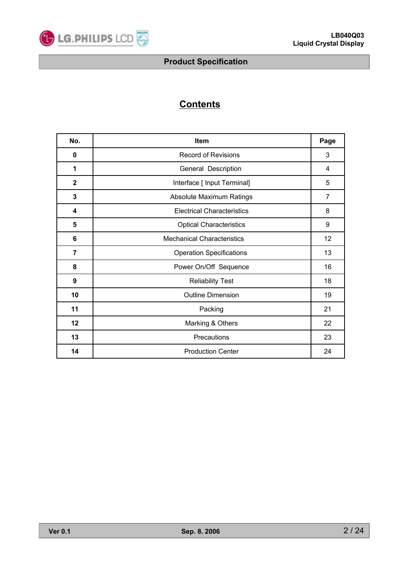

# **Contents**

| No.            | <b>Item</b>                       | Page           |  |  |  |  |  |
|----------------|-----------------------------------|----------------|--|--|--|--|--|
| $\bf{0}$       | <b>Record of Revisions</b>        | 3              |  |  |  |  |  |
| 1              | General Description               |                |  |  |  |  |  |
| $\mathbf{2}$   | Interface [ Input Terminal]       | 5              |  |  |  |  |  |
| 3              | Absolute Maximum Ratings          | $\overline{7}$ |  |  |  |  |  |
| 4              | <b>Electrical Characteristics</b> | 8              |  |  |  |  |  |
| 5              | <b>Optical Characteristics</b>    |                |  |  |  |  |  |
| 6              | <b>Mechanical Characteristics</b> | 12             |  |  |  |  |  |
| $\overline{7}$ | <b>Operation Specifications</b>   |                |  |  |  |  |  |
| 8              | Power On/Off Sequence             | 16             |  |  |  |  |  |
| 9              | <b>Reliability Test</b>           | 18             |  |  |  |  |  |
| 10             | <b>Outline Dimension</b>          | 19             |  |  |  |  |  |
| 11             | Packing                           | 21             |  |  |  |  |  |
| 12             | Marking & Others                  | 22             |  |  |  |  |  |
| 13             | Precautions                       | 23             |  |  |  |  |  |
| 14             | <b>Production Center</b>          | 24             |  |  |  |  |  |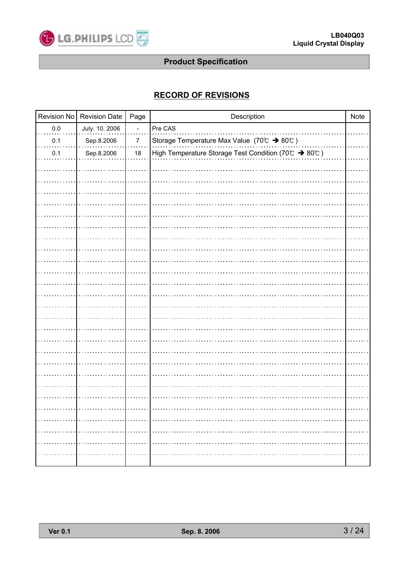

### **RECORD OF REVISIONS**

|         | Revision No Revision Date | Page             | Description                                              | Note |
|---------|---------------------------|------------------|----------------------------------------------------------|------|
| $0.0\,$ | July. 10. 2006            |                  | Pre CAS                                                  |      |
| $0.1\,$ | Sep.8.2006                | $\boldsymbol{7}$ | Storage Temperature Max Value (70°C) $\rightarrow$ 80°C) |      |
| 0.1     | Sep.8.2006                | $18\,$           | High Temperature Storage Test Condition (70°C > 80°C)    |      |
|         |                           |                  |                                                          |      |
|         |                           |                  |                                                          |      |
|         |                           |                  |                                                          |      |
|         |                           |                  |                                                          |      |
|         |                           |                  |                                                          |      |
|         |                           |                  |                                                          |      |
|         |                           |                  |                                                          |      |
|         |                           |                  |                                                          |      |
|         |                           |                  |                                                          |      |
|         |                           |                  |                                                          |      |
|         |                           |                  |                                                          |      |
|         |                           |                  |                                                          |      |
|         |                           |                  |                                                          |      |
|         |                           |                  |                                                          |      |
|         |                           |                  |                                                          |      |
|         |                           |                  |                                                          |      |
|         |                           |                  |                                                          |      |
|         |                           |                  |                                                          |      |
|         |                           |                  |                                                          |      |
|         |                           |                  |                                                          |      |
|         |                           |                  |                                                          |      |
|         |                           |                  |                                                          |      |
|         |                           |                  |                                                          |      |
|         |                           |                  |                                                          |      |
|         |                           |                  |                                                          |      |
|         |                           |                  |                                                          |      |
|         |                           |                  |                                                          |      |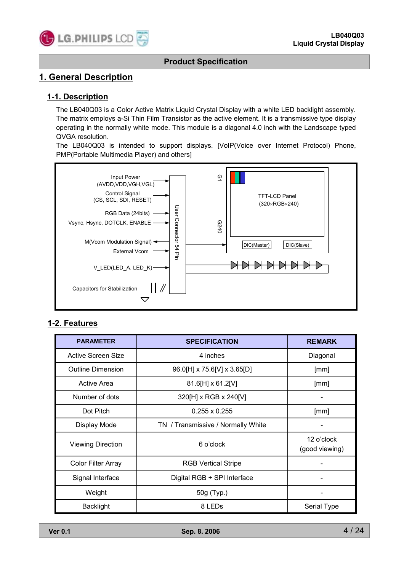

### **1. General Description**

#### **1-1. Description**

The LB040Q03 is a Color Active Matrix Liquid Crystal Display with a white LED backlight assembly. The matrix employs a-Si Thin Film Transistor as the active element. It is a transmissive type display operating in the normally white mode. This module is a diagonal 4.0 inch with the Landscape typed QVGA resolution.

The LB040Q03 is intended to support displays. [VoIP(Voice over Internet Protocol) Phone, PMP(Portable Multimedia Player) and others]



#### **1-2. Features**

| Input Power<br>(AVDD, VDD, VGH, VGL)<br>Control Signal<br>(CS, SCL, SDI, RESET)<br>RGB Data (24bits) -<br>Vsync, Hsync, DOTCLK, ENABLE<br>M(Vcom Modulation Signal) <<br><b>External Vcom</b><br>V_LED(LED_A, LED_K)-<br>Capacitors for Stabilization<br>2. Features | User Connector 54 Pin | ō٦<br><b>TFT-LCD Panel</b><br>(320×RGB×240)<br>G240<br>DIC(Master)<br><b>AKKKKKK</b> | DIC(Slave)    |  |
|----------------------------------------------------------------------------------------------------------------------------------------------------------------------------------------------------------------------------------------------------------------------|-----------------------|--------------------------------------------------------------------------------------|---------------|--|
| <b>PARAMETER</b>                                                                                                                                                                                                                                                     |                       | <b>SPECIFICATION</b>                                                                 | <b>REMARK</b> |  |
| <b>Active Screen Size</b>                                                                                                                                                                                                                                            |                       | Diagonal                                                                             |               |  |
| <b>Outline Dimension</b>                                                                                                                                                                                                                                             |                       | 96.0[H] x 75.6[V] x 3.65[D]                                                          |               |  |
| <b>Active Area</b>                                                                                                                                                                                                                                                   |                       | 81.6[H] x 61.2[V]                                                                    | [mm]          |  |
| Number of dots                                                                                                                                                                                                                                                       |                       | 320[H] x RGB x 240[V]                                                                |               |  |
| Dot Pitch                                                                                                                                                                                                                                                            |                       | $0.255 \times 0.255$                                                                 | [mm]          |  |
| <b>Display Mode</b>                                                                                                                                                                                                                                                  |                       | TN / Transmissive / Normally White                                                   |               |  |
| <b>Viewing Direction</b>                                                                                                                                                                                                                                             |                       | 12 o'clock<br>(good viewing)                                                         |               |  |
| <b>Color Filter Array</b>                                                                                                                                                                                                                                            |                       | <b>RGB Vertical Stripe</b>                                                           |               |  |
| Signal Interface                                                                                                                                                                                                                                                     |                       | Digital RGB + SPI Interface                                                          |               |  |
| Weight                                                                                                                                                                                                                                                               |                       | 50g (Typ.)                                                                           |               |  |
| <b>Backlight</b>                                                                                                                                                                                                                                                     |                       | 8 LEDs                                                                               | Serial Type   |  |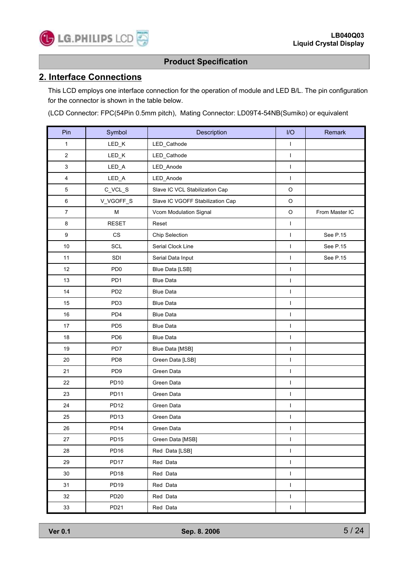

### **2. Interface Connections**

**C** LG. PHILIPS LCD

This LCD employs one interface connection for the operation of module and LED B/L. The pin configuration for the connector is shown in the table below.

(LCD Connector: FPC(54Pin 0.5mm pitch), Mating Connector: LD09T4-54NB(Sumiko) or equivalent

| Pin              | Symbol           | Description                      | I/O          | Remark         |
|------------------|------------------|----------------------------------|--------------|----------------|
| 1                | LED_K            | LED_Cathode                      | $\mathbf{I}$ |                |
| $\overline{c}$   | LED_K            | LED_Cathode                      | $\mathbf{I}$ |                |
| 3                | LED_A            | LED_Anode                        | $\mathbf{I}$ |                |
| 4                | $LED_A$          | LED_Anode                        | L            |                |
| 5                | C_VCL_S          | Slave IC VCL Stabilization Cap   | $\mathsf O$  |                |
| 6                | V_VGOFF_S        | Slave IC VGOFF Stabilization Cap | $\mathsf O$  |                |
| $\overline{7}$   | М                | Vcom Modulation Signal           | $\mathsf O$  | From Master IC |
| 8                | <b>RESET</b>     | Reset                            | $\mathbf{I}$ |                |
| $\boldsymbol{9}$ | CS               | Chip Selection                   | $\mathbf{I}$ | See P.15       |
| 10               | <b>SCL</b>       | Serial Clock Line                | I            | See P.15       |
| 11               | SDI              | Serial Data Input                | L            | See P.15       |
| 12               | PD <sub>0</sub>  | Blue Data [LSB]                  | T            |                |
| 13               | PD <sub>1</sub>  | <b>Blue Data</b>                 | L            |                |
| 14               | PD <sub>2</sub>  | <b>Blue Data</b>                 | $\mathbf{I}$ |                |
| 15               | PD <sub>3</sub>  | <b>Blue Data</b>                 | I            |                |
| 16               | PD <sub>4</sub>  | <b>Blue Data</b>                 | L            |                |
| 17               | PD <sub>5</sub>  | <b>Blue Data</b>                 | T            |                |
| 18               | PD <sub>6</sub>  | <b>Blue Data</b>                 | $\mathbf{I}$ |                |
| 19               | PD7              | Blue Data [MSB]                  | $\mathbf{I}$ |                |
| 20               | PD <sub>8</sub>  | Green Data [LSB]                 | $\mathbf{I}$ |                |
| 21               | PD <sub>9</sub>  | Green Data                       | $\mathbf{I}$ |                |
| 22               | PD10             | Green Data                       | T            |                |
| 23               | PD11             | Green Data                       | $\mathbf{I}$ |                |
| 24               | <b>PD12</b>      | Green Data                       | $\mathbf{I}$ |                |
| 25               | PD <sub>13</sub> | Green Data                       | L            |                |
| 26               | <b>PD14</b>      | Green Data                       | L            |                |
| 27               | <b>PD15</b>      | Green Data [MSB]                 | $\mathbf{I}$ |                |
| 28               | PD <sub>16</sub> | Red Data [LSB]                   | $\mathbf{I}$ |                |
| 29               | PD17             | Red Data                         | $\mathsf I$  |                |
| 30               | PD <sub>18</sub> | Red Data                         | $\mathbf{I}$ |                |
| 31               | PD <sub>19</sub> | Red Data                         | $\mathbf{I}$ |                |
| 32               | PD20             | Red Data                         | $\mathbf{I}$ |                |
| 33               | PD21             | Red Data                         | L            |                |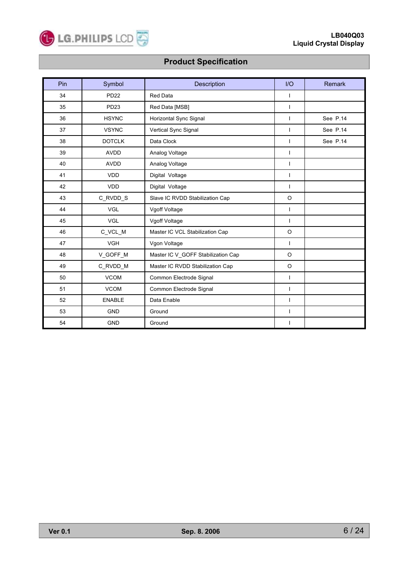

| Pin | Symbol        | Description                        | $II$           | <b>Remark</b> |
|-----|---------------|------------------------------------|----------------|---------------|
| 34  | <b>PD22</b>   | Red Data                           | $\mathbf{I}$   |               |
| 35  | PD23          | Red Data [MSB]                     | $\overline{1}$ |               |
| 36  | <b>HSYNC</b>  | Horizontal Sync Signal             | $\mathbf{I}$   | See P.14      |
| 37  | <b>VSYNC</b>  | Vertical Sync Signal               | $\mathbf{I}$   | See P.14      |
| 38  | <b>DOTCLK</b> | Data Clock                         | $\mathbf{I}$   | See P.14      |
| 39  | <b>AVDD</b>   | Analog Voltage                     | $\mathbf{I}$   |               |
| 40  | <b>AVDD</b>   | Analog Voltage                     | $\mathbf{I}$   |               |
| 41  | <b>VDD</b>    | Digital Voltage                    | $\mathbf{I}$   |               |
| 42  | <b>VDD</b>    | Digital Voltage                    | $\mathbf{I}$   |               |
| 43  | C_RVDD_S      | Slave IC RVDD Stabilization Cap    | $\circ$        |               |
| 44  | <b>VGL</b>    | Vgoff Voltage                      | $\mathbf{I}$   |               |
| 45  | <b>VGL</b>    | Vgoff Voltage                      | $\mathbf{I}$   |               |
| 46  | C_VCL_M       | Master IC VCL Stabilization Cap    | $\circ$        |               |
| 47  | <b>VGH</b>    | Vgon Voltage                       | $\mathbf{I}$   |               |
| 48  | V_GOFF_M      | Master IC V_GOFF Stabilization Cap | $\circ$        |               |
| 49  | C_RVDD_M      | Master IC RVDD Stabilization Cap   | $\circ$        |               |
| 50  | <b>VCOM</b>   | Common Electrode Signal            | $\mathbf{I}$   |               |
| 51  | <b>VCOM</b>   | Common Electrode Signal            | $\overline{1}$ |               |
| 52  | <b>ENABLE</b> | Data Enable                        | $\mathbf{I}$   |               |
| 53  | <b>GND</b>    | Ground                             | $\mathbf{I}$   |               |
| 54  | <b>GND</b>    | Ground                             | $\mathbf{I}$   |               |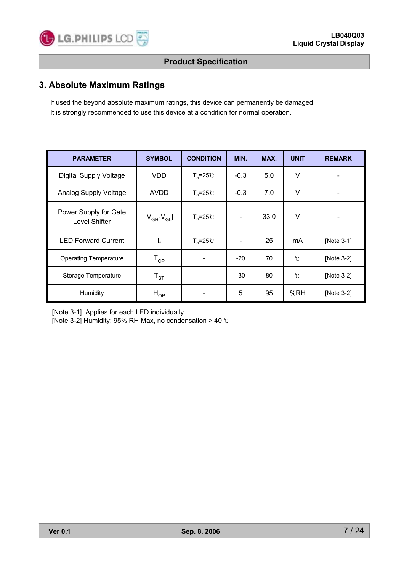

### **3. Absolute Maximum Ratings**

If used the beyond absolute maximum ratings, this device can permanently be damaged. It is strongly recommended to use this device at a condition for normal operation.

| <b>PARAMETER</b>                       | <b>SYMBOL</b>              | <b>CONDITION</b>          | MIN.                     | MAX. | <b>UNIT</b> | <b>REMARK</b> |
|----------------------------------------|----------------------------|---------------------------|--------------------------|------|-------------|---------------|
| <b>Digital Supply Voltage</b>          | VDD                        | $T_a = 25^{\circ}C$       | $-0.3$                   | 5.0  | $\vee$      |               |
| Analog Supply Voltage                  | <b>AVDD</b>                | $T_a = 25^\circ \text{C}$ | $-0.3$                   | 7.0  | V           |               |
| Power Supply for Gate<br>Level Shifter | $ V_{GH}$ - $V_{GL} $      | $T_a = 25^{\circ}C$       | $\overline{\phantom{a}}$ | 33.0 | V           |               |
| <b>LED Forward Current</b>             | $I_{f}$                    | $T_a = 25^{\circ}C$       | $\overline{\phantom{a}}$ | 25   | mA          | [Note 3-1]    |
| <b>Operating Temperature</b>           | $\mathsf{T}_{\mathsf{OP}}$ |                           | $-20$                    | 70   | °C          | [Note 3-2]    |
| Storage Temperature                    | $T_{ST}$                   |                           | -30                      | 80   | °C          | [Note 3-2]    |
| Humidity                               | $H_{OP}$                   |                           | 5                        | 95   | %RH         | [Note $3-2$ ] |

[Note 3-1] Applies for each LED individually

[Note 3-2] Humidity: 95% RH Max, no condensation > 40 ℃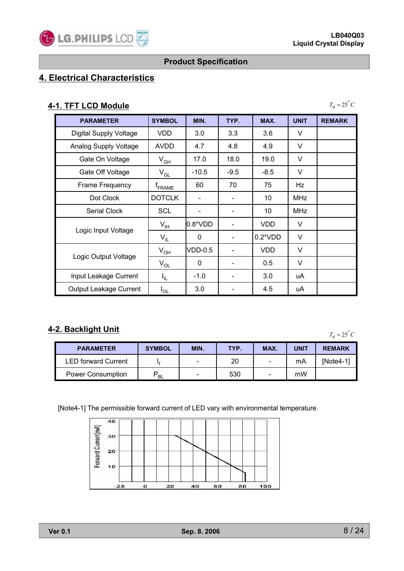### **4. Electrical Characteristics**

### **4-1. TFT LCD Module**

 $T_a = 25^\circ C$ 

| <b>PARAMETER</b>              | <b>SYMBOL</b>      | MIN.         | TYP.                     | MAX.            | <b>UNIT</b> | <b>REMARK</b> |
|-------------------------------|--------------------|--------------|--------------------------|-----------------|-------------|---------------|
| <b>Digital Supply Voltage</b> | VDD.               | 3.0          | 3.3                      | 3.6             | V           |               |
| Analog Supply Voltage         | <b>AVDD</b>        | 4.7          | 4.8                      | 4.9             | V           |               |
| Gate On Voltage               | $V_{GH}$           | 17.0         | 18.0                     | 19.0            | $\vee$      |               |
| Gate Off Voltage              | $V_{GL}$           | $-10.5$      | $-9.5$                   | $-8.5$          | V           |               |
| Frame Frequency               | <sup>T</sup> FRAME | 60           | 70                       | 75              | Hz          |               |
| Dot Clock                     | <b>DOTCLK</b>      |              |                          | 10              | <b>MHz</b>  |               |
| Serial Clock                  | <b>SCL</b>         |              | $\overline{\phantom{a}}$ | 10              | <b>MHz</b>  |               |
|                               | $V_{\text{IH}}$    | l0.8*VDD     |                          | <b>VDD</b>      | V           |               |
| Logic Input Voltage           | $V_{IL}$           | $\mathbf{0}$ |                          | $0.2^{\ast}VDD$ | $\vee$      |               |
|                               | $V_{OH}$           | VDD-0.5      |                          | <b>VDD</b>      | $\vee$      |               |
| Logic Output Voltage          | $V_{OL}$           | $\mathbf{0}$ |                          | 0.5             | V           |               |
| Input Leakage Current         | I <sub>IL</sub>    | $-1.0$       |                          | 3.0             | uA          |               |
| <b>Output Leakage Current</b> | $I_{OL}$           | 3.0          |                          | 4.5             | uA          |               |

### **4-2. Backlight Unit**

 $T_a = 25^\circ C$ 

| <b>PARAMETER</b>           | <b>SYMBOL</b> | MIN.                     | TYP. | MAX. | <b>UNIT</b> | <b>REMARK</b> |
|----------------------------|---------------|--------------------------|------|------|-------------|---------------|
| <b>LED forward Current</b> |               | $\overline{\phantom{0}}$ | 20   | -    | mA          | INote4-1      |
| <b>Power Consumption</b>   | <b>BL</b>     | $\overline{\phantom{0}}$ | 530  | -    | mW          |               |

[Note4-1] The permissible forward current of LED vary with environmental temperature.

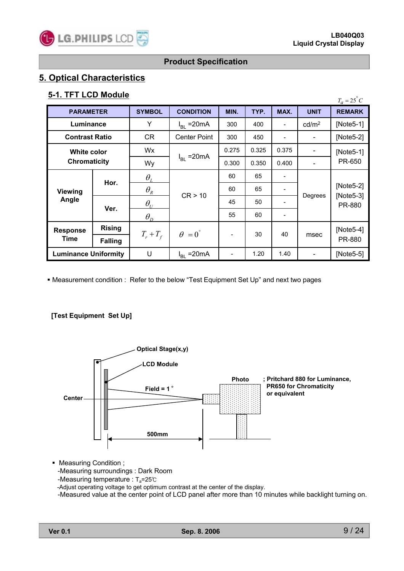### **5. Optical Characteristics**

### **5-1. TFT LCD Module**

| <b>J'I. II I LVD MUUUIT</b>        |                |                                  |                        |       |       |                              |                   | $T_a = 25^{\circ}C$   |  |
|------------------------------------|----------------|----------------------------------|------------------------|-------|-------|------------------------------|-------------------|-----------------------|--|
| <b>PARAMETER</b>                   |                | <b>SYMBOL</b>                    | <b>CONDITION</b>       | MIN.  | TYP.  | MAX.                         | <b>UNIT</b>       | <b>REMARK</b>         |  |
|                                    | Luminance      |                                  | $I_{BL}$ = 20 mA       | 300   | 400   |                              | cd/m <sup>2</sup> | [Note $5-1$ ]         |  |
| <b>Contrast Ratio</b>              |                | CR                               | <b>Center Point</b>    | 300   | 450   |                              |                   | $[Note5-2]$           |  |
| <b>White color</b><br>Chromaticity |                | Wx                               |                        | 0.275 | 0.325 | 0.375                        |                   | $[Note5-1]$           |  |
|                                    |                | Wy                               | $I_{BL}$ = 20 mA       | 0.300 | 0.350 | 0.400                        |                   | PR-650                |  |
|                                    | Hor.           | $\theta_{I}$                     |                        | 60    | 65    |                              |                   | $[Note5-2]$           |  |
| <b>Viewing</b>                     |                | $\theta_{\scriptscriptstyle R}$  | CR > 10                | 60    | 65    | ۰                            |                   |                       |  |
| Angle                              |                | $\theta_{\scriptscriptstyle II}$ |                        | 45    | 50    | -                            | Degrees           | $[Note5-3]$<br>PR-880 |  |
|                                    | Ver.           | $\theta_{D}$                     |                        | 55    | 60    | $\qquad \qquad \blacksquare$ |                   |                       |  |
| <b>Response</b>                    | <b>Rising</b>  |                                  | $\theta = 0^{\degree}$ |       |       | 30<br>40                     |                   | [Note $5-4$ ]         |  |
| Time                               | <b>Falling</b> | $T_r + T_f$                      |                        |       |       |                              | msec              | PR-880                |  |
| <b>Luminance Uniformity</b>        |                | U                                | $I_{BL}$ = 20 mA       |       | 1.20  | 1.40                         |                   | [Note $5-5$ ]         |  |

Measurement condition : Refer to the below "Test Equipment Set Up" and next two pages

#### **[Test Equipment Set Up]**



• Measuring Condition ; -Measuring surroundings : Dark Room -Measuring temperature : T<sub>a</sub>=25℃ -Adjust operating voltage to get optimum contrast at the center of the display. -Measured value at the center point of LCD panel after more than 10 minutes while backlight turning on.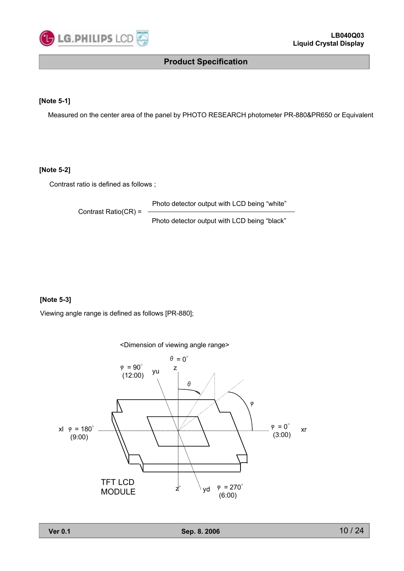

#### **[Note 5-1]**

Measured on the center area of the panel by PHOTO RESEARCH photometer PR-880&PR650 or Equivalent

#### **[Note 5-2]**

Contrast ratio is defined as follows ;

Photo detector output with LCD being "white"

Contrast Ratio(CR) =

Photo detector output with LCD being "black"

#### **[Note 5-3]**

Viewing angle range is defined as follows [PR-880];

<Dimension of viewing angle range>

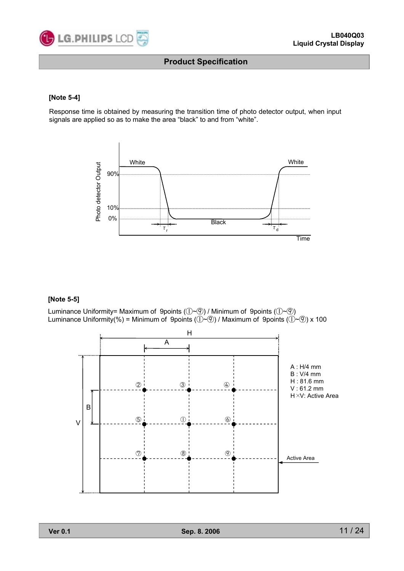

#### **[Note 5-4]**

Response time is obtained by measuring the transition time of photo detector output, when input signals are applied so as to make the area "black" to and from "white".



#### **[Note 5-5]**

Luminance Uniformity= Maximum of 9points (①~⑨) / Minimum of 9points (①~⑨) Luminance Uniformity(%) = Minimum of 9points ( $(\bar{D} \sim \bar{O})$  / Maximum of 9points ( $(\bar{D} \sim \bar{O})$  x 100

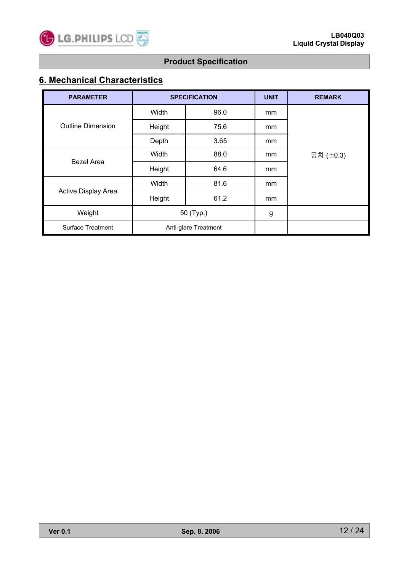

# **6. Mechanical Characteristics**

| <b>PARAMETER</b>                         |           | <b>SPECIFICATION</b> | <b>UNIT</b>   | <b>REMARK</b> |
|------------------------------------------|-----------|----------------------|---------------|---------------|
|                                          | Width     | 96.0                 | <sub>mm</sub> |               |
| <b>Outline Dimension</b>                 | Height    | 75.6                 | mm            |               |
|                                          | Depth     | 3.65                 | mm            |               |
| <b>Bezel Area</b><br>Active Display Area | Width     | 88.0                 | mm            | 공차 (±0.3)     |
|                                          | Height    | 64.6                 | mm            |               |
|                                          | Width     | 81.6                 | mm            |               |
|                                          | Height    | 61.2                 | mm            |               |
| Weight                                   | 50 (Typ.) |                      | g             |               |
| <b>Surface Treatment</b>                 |           | Anti-glare Treatment |               |               |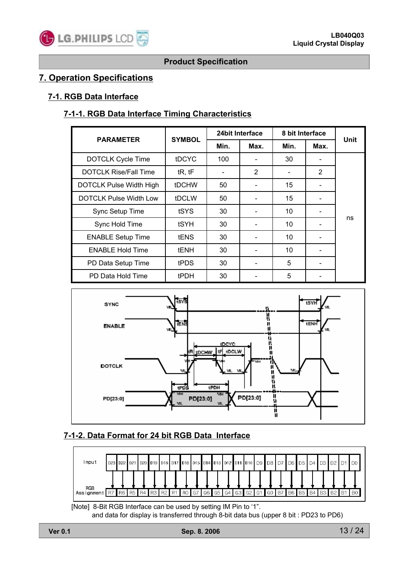### **7. Operation Specifications**

### **7-1. RGB Data Interface**

### **7-1-1. RGB Data Interface Timing Characteristics**

| <b>PARAMETER</b>               | <b>SYMBOL</b> |      | 24 bit Interface | 8 bit Interface |                |             |
|--------------------------------|---------------|------|------------------|-----------------|----------------|-------------|
|                                |               | Min. | Max.             | Min.            | Max.           | <b>Unit</b> |
| <b>DOTCLK Cycle Time</b>       | <b>tDCYC</b>  | 100  |                  | 30              | -              |             |
| <b>DOTCLK Rise/Fall Time</b>   | tR, tF        | -    | 2                |                 | $\overline{2}$ |             |
| <b>DOTCLK Pulse Width High</b> | <b>tDCHW</b>  | 50   |                  | 15              |                |             |
| <b>DOTCLK Pulse Width Low</b>  | tDCLW         | 50   |                  | 15              |                |             |
| Sync Setup Time                | tSYS          | 30   |                  | 10              |                |             |
| Sync Hold Time                 | tSYH          | 30   |                  | 10              |                | ns          |
| <b>ENABLE Setup Time</b>       | <b>tENS</b>   | 30   |                  | 10              |                |             |
| <b>ENABLE Hold Time</b>        | <b>tENH</b>   | 30   |                  | 10              |                |             |
| PD Data Setup Time             | tPDS          | 30   |                  | 5               | -              |             |
| PD Data Hold Time              | tPDH          | 30   |                  | 5               |                |             |



### **7-1-2. Data Format for 24 bit RGB Data Interface**



[Note] 8-Bit RGB Interface can be used by setting IM Pin to '1". and data for display is transferred through 8-bit data bus (upper 8 bit : PD23 to PD6)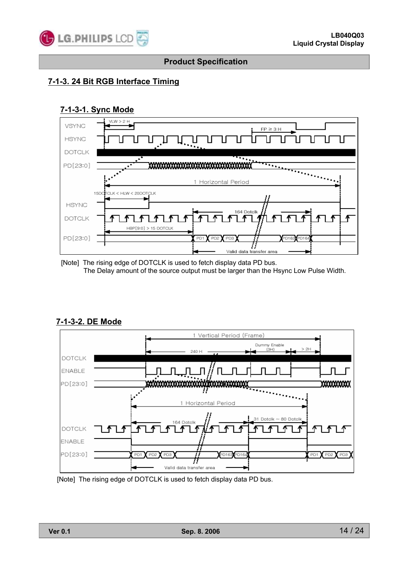

### **7-1-3. 24 Bit RGB Interface Timing**

#### **7-1-3-1. Sync Mode**



<sup>[</sup>Note] The rising edge of DOTCLK is used to fetch display data PD bus. The Delay amount of the source output must be larger than the Hsync Low Pulse Width.

#### **7-1-3-2. DE Mode**



[Note] The rising edge of DOTCLK is used to fetch display data PD bus.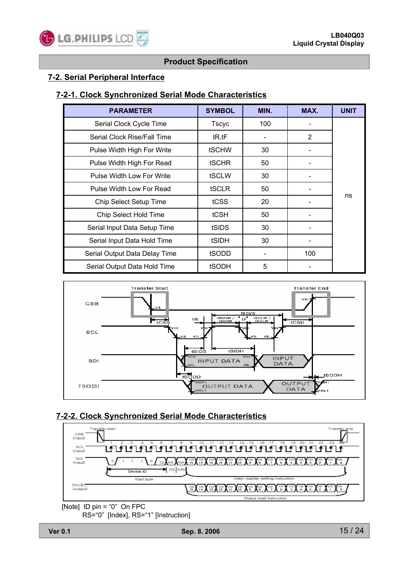

#### **7-2. Serial Peripheral Interface**

#### **7-2-1. Clock Synchronized Serial Mode Characteristics**

| <b>PARAMETER</b>              | <b>SYMBOL</b> | MIN. | MAX.           | <b>UNIT</b> |
|-------------------------------|---------------|------|----------------|-------------|
| Serial Clock Cycle Time       | Tscyc         | 100  |                |             |
| Serial Clock Rise/Fall Time   | tR, tF        |      | $\overline{2}$ |             |
| Pulse Width High For Write    | <b>tSCHW</b>  | 30   |                |             |
| Pulse Width High For Read     | <b>tSCHR</b>  | 50   |                |             |
| Pulse Width Low For Write     | tSCLW         | 30   |                |             |
| Pulse Width Low For Read      | <b>tSCLR</b>  | 50   |                |             |
| Chip Select Setup Time        | tCSS          | 20   |                | ns          |
| Chip Select Hold Time         | tCSH          | 50   |                |             |
| Serial Input Data Setup Time  | tSIDS         | 30   |                |             |
| Serial Input Data Hold Time   | tSIDH         | 30   |                |             |
| Serial Output Data Delay Time | tSODD         |      | 100            |             |
| Serial Output Data Hold Time  | <b>tSODH</b>  | 5    |                |             |



### **7-2-2. Clock Synchronized Serial Mode Characteristics**



RS="0" [Index], RS="1" [Instruction]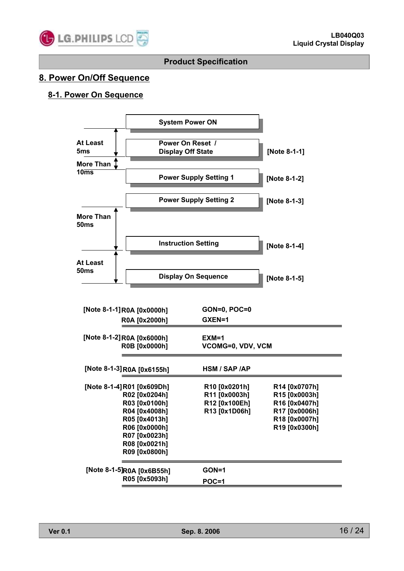

### **8. Power On/Off Sequence**

### **8-1. Power On Sequence**

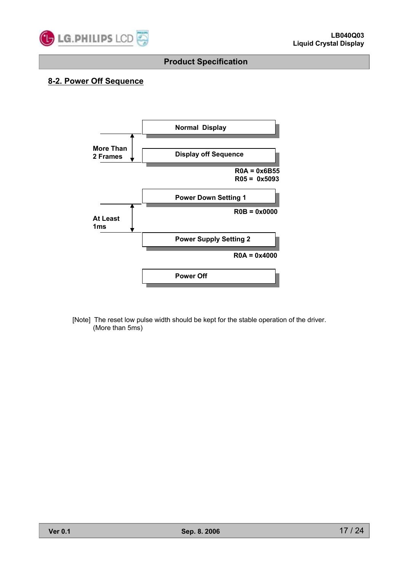

### **8-2. Power Off Sequence**



[Note] The reset low pulse width should be kept for the stable operation of the driver. (More than 5ms)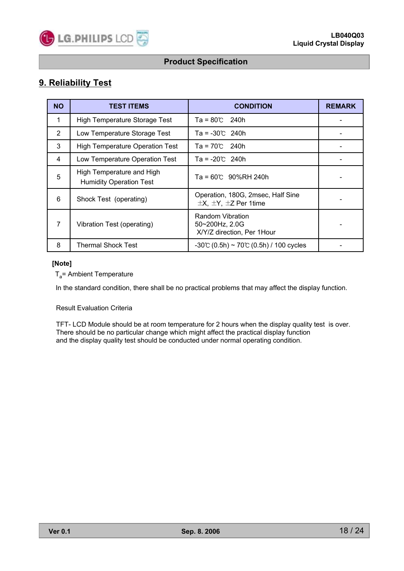### **9. Reliability Test**

| <b>NO</b> | <b>TEST ITEMS</b>                                           | <b>CONDITION</b>                                                         | <b>REMARK</b> |
|-----------|-------------------------------------------------------------|--------------------------------------------------------------------------|---------------|
| 1         | High Temperature Storage Test                               | $Ta = 80^{\circ}$ 240h                                                   |               |
| 2         | Low Temperature Storage Test                                | Ta = -30℃ 240h                                                           |               |
| 3         | <b>High Temperature Operation Test</b>                      | $Ta = 70^{\circ}$ 240h                                                   |               |
| 4         | Low Temperature Operation Test                              | $Ta = -20^{\circ}$ 240h                                                  |               |
| 5         | High Temperature and High<br><b>Humidity Operation Test</b> | $Ta = 60^{\circ}C$ 90%RH 240h                                            |               |
| 6         | Shock Test (operating)                                      | Operation, 180G, 2msec, Half Sine<br>$\pm$ X, $\pm$ Y, $\pm$ Z Per 1time |               |
| 7         | Vibration Test (operating)                                  | Random Vibration<br>$50 - 200$ Hz, 2.0G<br>X/Y/Z direction, Per 1Hour    |               |
| 8         | Thermal Shock Test                                          | $-30$ °C (0.5h) ~ 70°C (0.5h) / 100 cycles                               |               |

#### **[Note]**

 $T_a$ = Ambient Temperature

In the standard condition, there shall be no practical problems that may affect the display function.

#### Result Evaluation Criteria

TFT- LCD Module should be at room temperature for 2 hours when the display quality test is over. There should be no particular change which might affect the practical display function and the display quality test should be conducted under normal operating condition.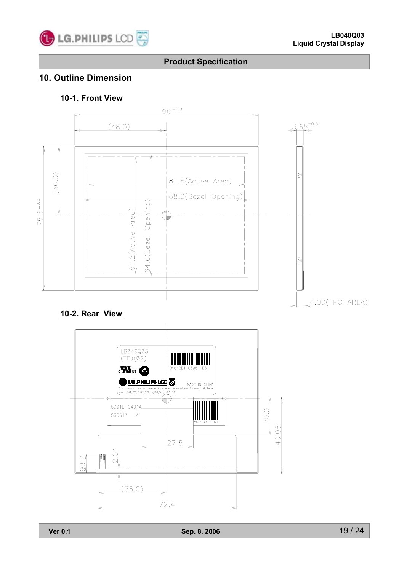

### **10. Outline Dimension**

### **10-1. Front View**



### **10-2. Rear View**

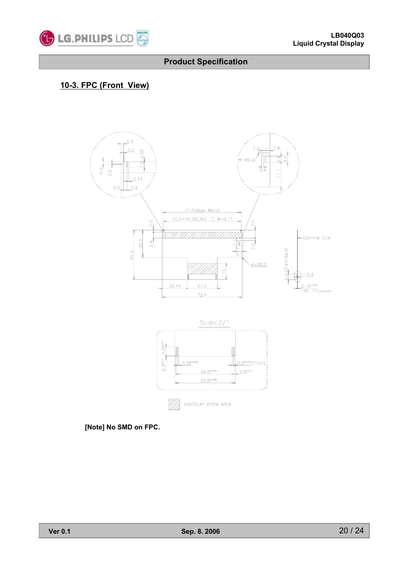

### **10-3. FPC (Front View)**



**[Note] No SMD on FPC.**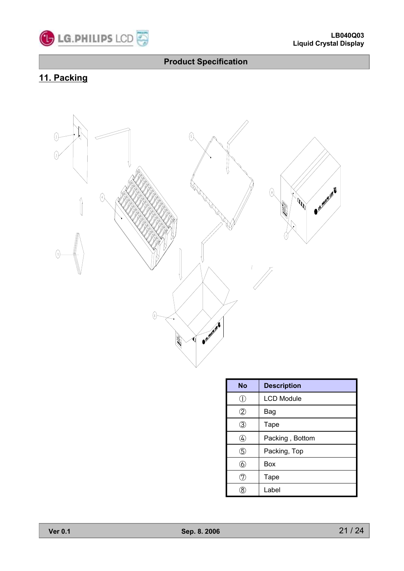

# **11. Packing**



| <b>No</b> | <b>Description</b> |
|-----------|--------------------|
| J.        | <b>LCD Module</b>  |
| 2         | Bag                |
| 3         | Tape               |
| 4         | Packing, Bottom    |
| 5         | Packing, Top       |
| 6         | Box                |
|           | Tape               |
|           | Label              |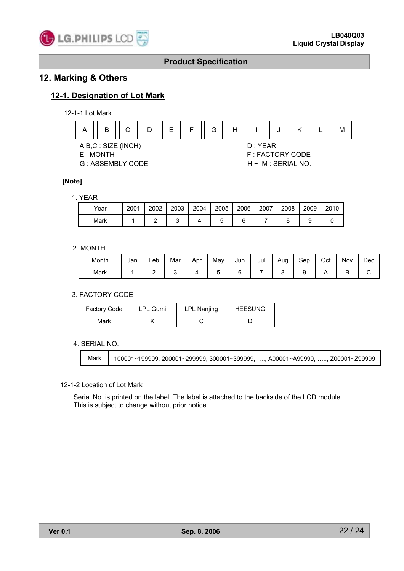

### **12. Marking & Others**

### **12-1. Designation of Lot Mark**

#### 12-1-1 Lot Mark



#### **[Note]**

#### 1. YEAR

| Year | 2001 | 2002 | 2003 | 2004 | 2005 | 2006 | 2007 | 2008 | 2009 | 2010 |
|------|------|------|------|------|------|------|------|------|------|------|
| Mark |      |      |      |      |      |      |      |      |      |      |

#### 2. MONTH

| Month | Jan | Feb | Mar | Apr | Mav | Jun | Jul | Aug | Sep | Oct | Nov | Dec |
|-------|-----|-----|-----|-----|-----|-----|-----|-----|-----|-----|-----|-----|
| Mark  |     | -   |     |     |     |     |     |     |     |     |     |     |

#### 3. FACTORY CODE

| <b>Factory Code</b> | <b>LPL Gumi</b> | <b>LPL Nanjing</b> | <b>HEESUNG</b> |
|---------------------|-----------------|--------------------|----------------|
| Mark                |                 |                    |                |

#### 4. SERIAL NO.

Mark | 100001~199999, 200001~299999, 300001~399999, …., A00001~A99999, …., Z00001~Z99999

#### 12-1-2 Location of Lot Mark

Serial No. is printed on the label. The label is attached to the backside of the LCD module. This is subject to change without prior notice.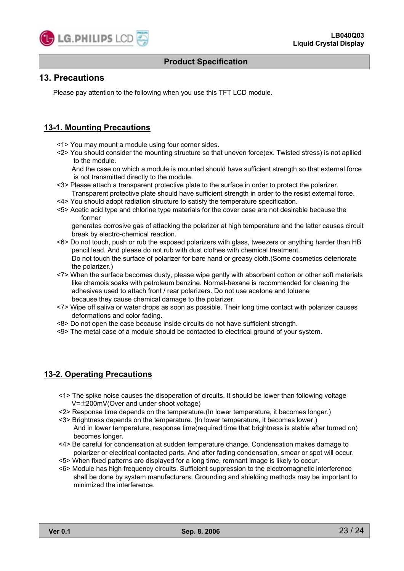

### **13. Precautions**

Please pay attention to the following when you use this TFT LCD module.

#### **13-1. Mounting Precautions**

- <1> You may mount a module using four corner sides.
- <2> You should consider the mounting structure so that uneven force(ex. Twisted stress) is not apllied to the module.

And the case on which a module is mounted should have sufficient strength so that external force is not transmitted directly to the module.

- <3> Please attach a transparent protective plate to the surface in order to protect the polarizer. Transparent protective plate should have sufficient strength in order to the resist external force.
- <4> You should adopt radiation structure to satisfy the temperature specification.
- <5> Acetic acid type and chlorine type materials for the cover case are not desirable because the former

generates corrosive gas of attacking the polarizer at high temperature and the latter causes circuit break by electro-chemical reaction.

- <6> Do not touch, push or rub the exposed polarizers with glass, tweezers or anything harder than HB pencil lead. And please do not rub with dust clothes with chemical treatment. Do not touch the surface of polarizer for bare hand or greasy cloth.(Some cosmetics deteriorate the polarizer.)
- <7> When the surface becomes dusty, please wipe gently with absorbent cotton or other soft materials like chamois soaks with petroleum benzine. Normal-hexane is recommended for cleaning the adhesives used to attach front / rear polarizers. Do not use acetone and toluene because they cause chemical damage to the polarizer.
- <7> Wipe off saliva or water drops as soon as possible. Their long time contact with polarizer causes deformations and color fading.
- <8> Do not open the case because inside circuits do not have sufficient strength.
- <9> The metal case of a module should be contacted to electrical ground of your system.

#### **13-2. Operating Precautions**

- <1> The spike noise causes the disoperation of circuits. It should be lower than following voltage  $V=\pm 200$ mV(Over and under shoot voltage)
- <2> Response time depends on the temperature.(In lower temperature, it becomes longer.)
- <3> Brightness depends on the temperature. (In lower temperature, it becomes lower.) And in lower temperature, response time(required time that brightness is stable after turned on) becomes longer.
- <4> Be careful for condensation at sudden temperature change. Condensation makes damage to polarizer or electrical contacted parts. And after fading condensation, smear or spot will occur.
- <5> When fixed patterns are displayed for a long time, remnant image is likely to occur.
- <6> Module has high frequency circuits. Sufficient suppression to the electromagnetic interference shall be done by system manufacturers. Grounding and shielding methods may be important to minimized the interference.